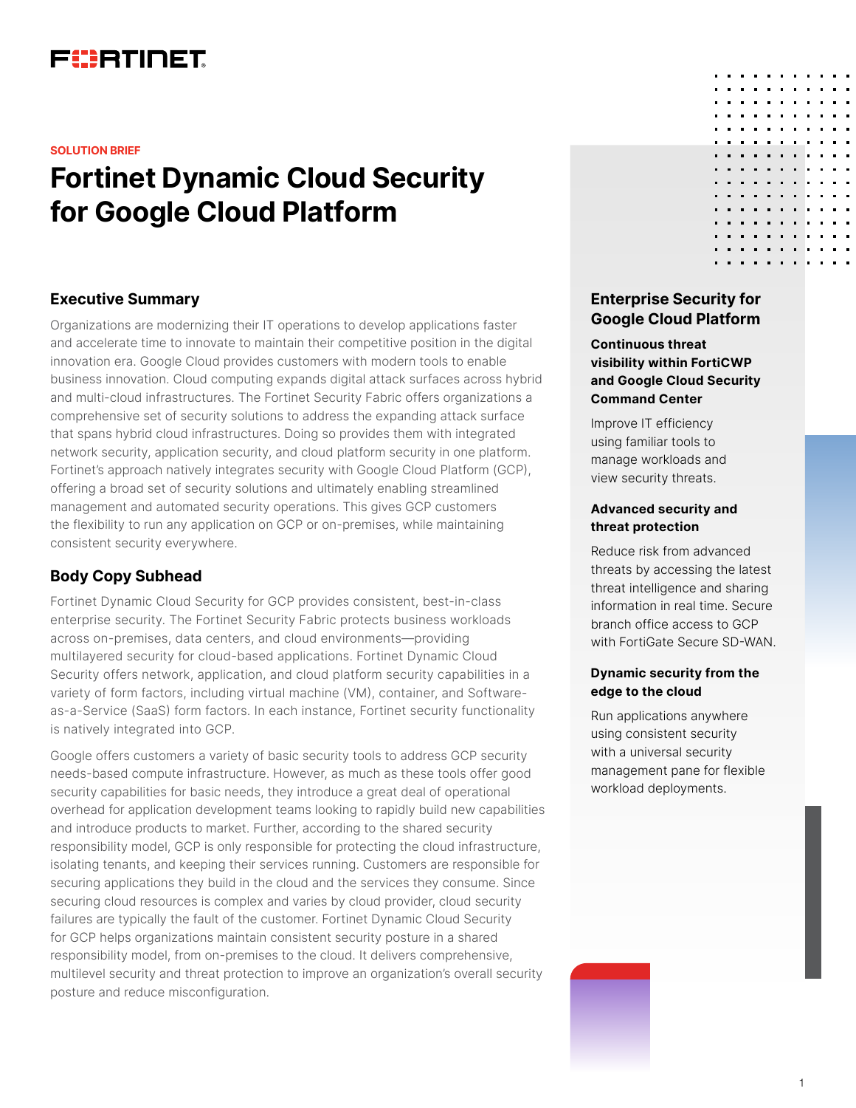# FURTINET

#### **SOLUTION BRIEF**

# **Fortinet Dynamic Cloud Security for Google Cloud Platform**

## **Executive Summary**

Organizations are modernizing their IT operations to develop applications faster and accelerate time to innovate to maintain their competitive position in the digital innovation era. Google Cloud provides customers with modern tools to enable business innovation. Cloud computing expands digital attack surfaces across hybrid and multi-cloud infrastructures. The Fortinet Security Fabric offers organizations a comprehensive set of security solutions to address the expanding attack surface that spans hybrid cloud infrastructures. Doing so provides them with integrated network security, application security, and cloud platform security in one platform. Fortinet's approach natively integrates security with Google Cloud Platform (GCP), offering a broad set of security solutions and ultimately enabling streamlined management and automated security operations. This gives GCP customers the flexibility to run any application on GCP or on-premises, while maintaining consistent security everywhere.

# **Body Copy Subhead**

Fortinet Dynamic Cloud Security for GCP provides consistent, best-in-class enterprise security. The Fortinet Security Fabric protects business workloads across on-premises, data centers, and cloud environments—providing multilayered security for cloud-based applications. Fortinet Dynamic Cloud Security offers network, application, and cloud platform security capabilities in a variety of form factors, including virtual machine (VM), container, and Softwareas-a-Service (SaaS) form factors. In each instance, Fortinet security functionality is natively integrated into GCP.

Google offers customers a variety of basic security tools to address GCP security needs-based compute infrastructure. However, as much as these tools offer good security capabilities for basic needs, they introduce a great deal of operational overhead for application development teams looking to rapidly build new capabilities and introduce products to market. Further, according to the shared security responsibility model, GCP is only responsible for protecting the cloud infrastructure, isolating tenants, and keeping their services running. Customers are responsible for securing applications they build in the cloud and the services they consume. Since securing cloud resources is complex and varies by cloud provider, cloud security failures are typically the fault of the customer. Fortinet Dynamic Cloud Security for GCP helps organizations maintain consistent security posture in a shared responsibility model, from on-premises to the cloud. It delivers comprehensive, multilevel security and threat protection to improve an organization's overall security posture and reduce misconfiguration.

# **Enterprise Security for Google Cloud Platform**

## **Continuous threat visibility within FortiCWP and Google Cloud Security Command Center**

Improve IT efficiency using familiar tools to manage workloads and view security threats.

#### **Advanced security and threat protection**

Reduce risk from advanced threats by accessing the latest threat intelligence and sharing information in real time. Secure branch office access to GCP with FortiGate Secure SD-WAN.

## **Dynamic security from the edge to the cloud**

Run applications anywhere using consistent security with a universal security management pane for flexible workload deployments.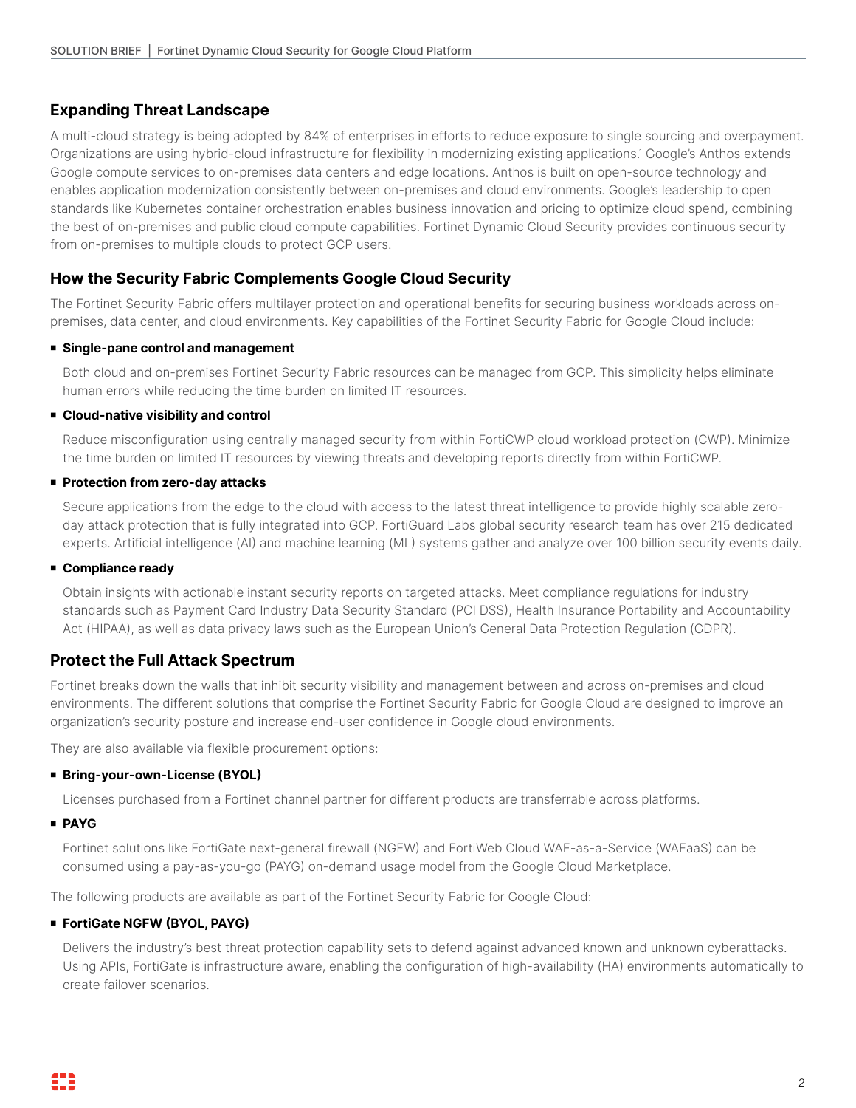# **Expanding Threat Landscape**

A multi-cloud strategy is being adopted by 84% of enterprises in efforts to reduce exposure to single sourcing and overpayment. Organizations are using hybrid-cloud infrastructure for flexibility in modernizing existing applications.1 Google's Anthos extends Google compute services to on-premises data centers and edge locations. Anthos is built on open-source technology and enables application modernization consistently between on-premises and cloud environments. Google's leadership to open standards like Kubernetes container orchestration enables business innovation and pricing to optimize cloud spend, combining the best of on-premises and public cloud compute capabilities. Fortinet Dynamic Cloud Security provides continuous security from on-premises to multiple clouds to protect GCP users.

# **How the Security Fabric Complements Google Cloud Security**

The Fortinet Security Fabric offers multilayer protection and operational benefits for securing business workloads across onpremises, data center, and cloud environments. Key capabilities of the Fortinet Security Fabric for Google Cloud include:

#### <sup>n</sup> **Single-pane control and management**

Both cloud and on-premises Fortinet Security Fabric resources can be managed from GCP. This simplicity helps eliminate human errors while reducing the time burden on limited IT resources.

## <sup>n</sup> **Cloud-native visibility and control**

Reduce misconfiguration using centrally managed security from within FortiCWP cloud workload protection (CWP). Minimize the time burden on limited IT resources by viewing threats and developing reports directly from within FortiCWP.

## ■ Protection from zero-day attacks

Secure applications from the edge to the cloud with access to the latest threat intelligence to provide highly scalable zeroday attack protection that is fully integrated into GCP. FortiGuard Labs global security research team has over 215 dedicated experts. Artificial intelligence (AI) and machine learning (ML) systems gather and analyze over 100 billion security events daily.

#### <sup>n</sup> **Compliance ready**

Obtain insights with actionable instant security reports on targeted attacks. Meet compliance regulations for industry standards such as Payment Card Industry Data Security Standard (PCI DSS), Health Insurance Portability and Accountability Act (HIPAA), as well as data privacy laws such as the European Union's General Data Protection Regulation (GDPR).

# **Protect the Full Attack Spectrum**

Fortinet breaks down the walls that inhibit security visibility and management between and across on-premises and cloud environments. The different solutions that comprise the Fortinet Security Fabric for Google Cloud are designed to improve an organization's security posture and increase end-user confidence in Google cloud environments.

They are also available via flexible procurement options:

#### **E** Bring-your-own-License (BYOL)

Licenses purchased from a Fortinet channel partner for different products are transferrable across platforms.

## <sup>n</sup> **PAYG**

Fortinet solutions like FortiGate next-general firewall (NGFW) and FortiWeb Cloud WAF-as-a-Service (WAFaaS) can be consumed using a pay-as-you-go (PAYG) on-demand usage model from the Google Cloud Marketplace.

The following products are available as part of the Fortinet Security Fabric for Google Cloud:

## **FortiGate NGFW (BYOL, PAYG)**

Delivers the industry's best threat protection capability sets to defend against advanced known and unknown cyberattacks. Using APIs, FortiGate is infrastructure aware, enabling the configuration of high-availability (HA) environments automatically to create failover scenarios.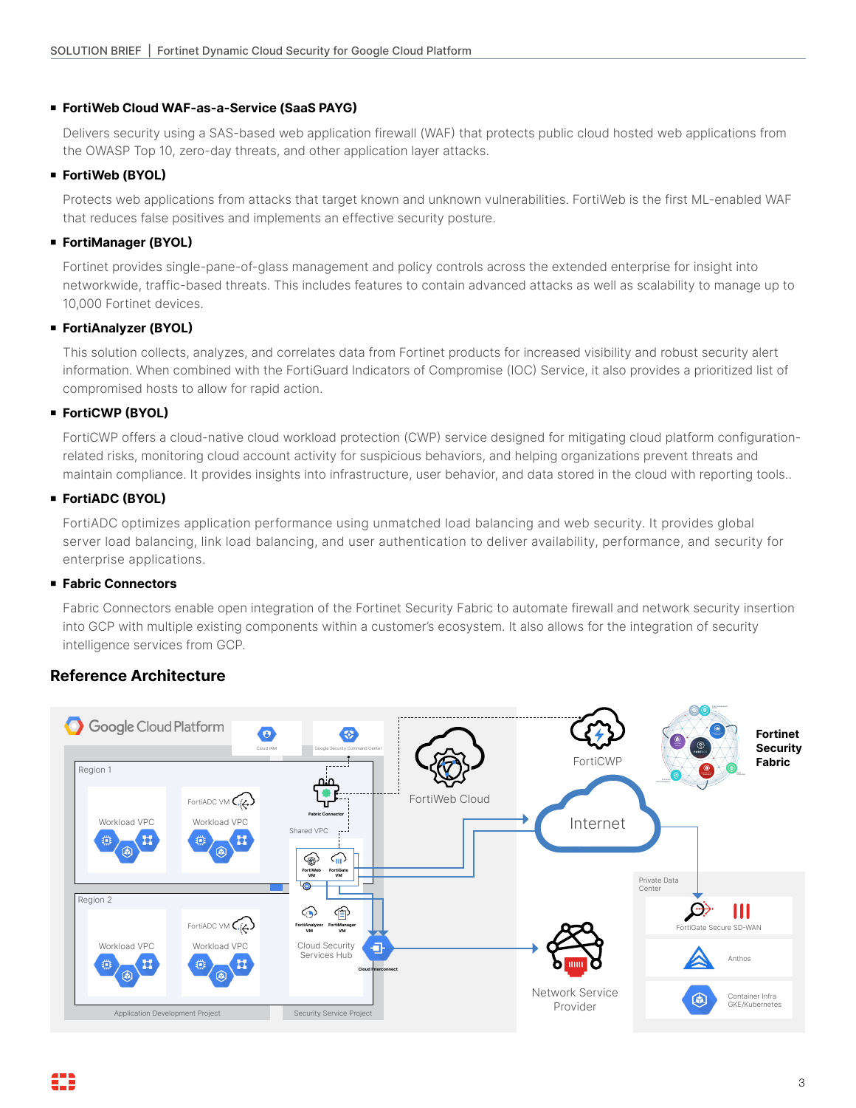#### <sup>n</sup> **FortiWeb Cloud WAF-as-a-Service (SaaS PAYG)**

Delivers security using a SAS-based web application firewall (WAF) that protects public cloud hosted web applications from the OWASP Top 10, zero-day threats, and other application layer attacks.

#### <sup>n</sup> **FortiWeb (BYOL)**

Protects web applications from attacks that target known and unknown vulnerabilities. FortiWeb is the first ML-enabled WAF that reduces false positives and implements an effective security posture.

## **FortiManager (BYOL)**

Fortinet provides single-pane-of-glass management and policy controls across the extended enterprise for insight into networkwide, traffic-based threats. This includes features to contain advanced attacks as well as scalability to manage up to 10,000 Fortinet devices.

## **FortiAnalyzer (BYOL)**

This solution collects, analyzes, and correlates data from Fortinet products for increased visibility and robust security alert information. When combined with the FortiGuard Indicators of Compromise (IOC) Service, it also provides a prioritized list of compromised hosts to allow for rapid action.

## <sup>n</sup> **FortiCWP (BYOL)**

FortiCWP offers a cloud-native cloud workload protection (CWP) service designed for mitigating cloud platform configurationrelated risks, monitoring cloud account activity for suspicious behaviors, and helping organizations prevent threats and maintain compliance. It provides insights into infrastructure, user behavior, and data stored in the cloud with reporting tools..

## <sup>n</sup> **FortiADC (BYOL)**

FortiADC optimizes application performance using unmatched load balancing and web security. It provides global server load balancing, link load balancing, and user authentication to deliver availability, performance, and security for enterprise applications.

## <sup>n</sup> **Fabric Connectors**

Fabric Connectors enable open integration of the Fortinet Security Fabric to automate firewall and network security insertion into GCP with multiple existing components within a customer's ecosystem. It also allows for the integration of security intelligence services from GCP.

# **Reference Architecture**